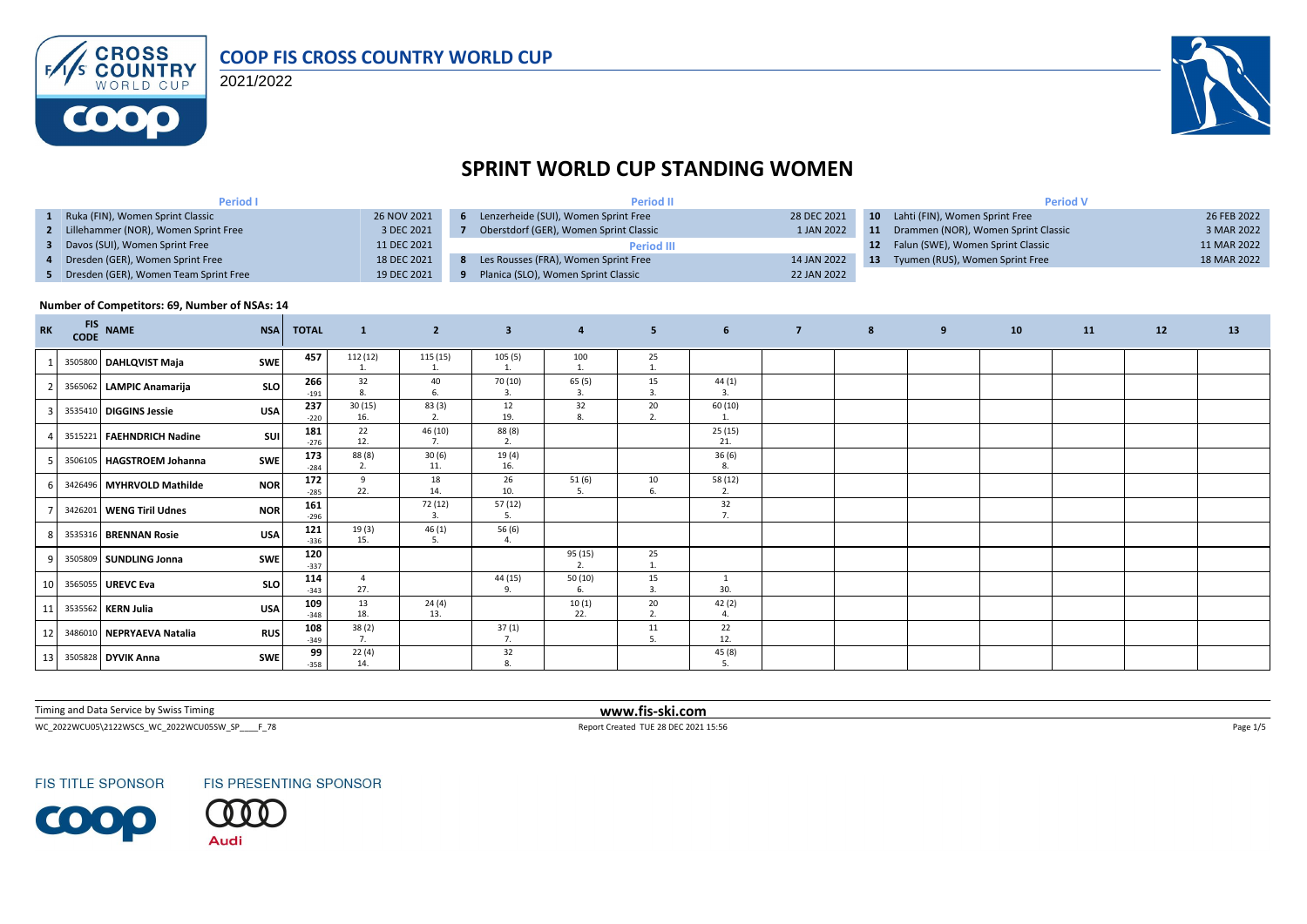

2021/2022



# **SPRINT WORLD CUP STANDING WOMEN**

| <b>Period I</b>                         |             | <b>Period II</b>                       |             | <b>Period V</b> |                                        |             |  |  |
|-----------------------------------------|-------------|----------------------------------------|-------------|-----------------|----------------------------------------|-------------|--|--|
| 1 Ruka (FIN), Women Sprint Classic      | 26 NOV 2021 | Lenzerheide (SUI), Women Sprint Free   | 28 DEC 2021 |                 | 10 Lahti (FIN), Women Sprint Free      | 26 FEB 2022 |  |  |
| 2 Lillehammer (NOR), Women Sprint Free  | 3 DEC 2021  | Oberstdorf (GER), Women Sprint Classic | 1 JAN 2022  |                 | 11 Drammen (NOR), Women Sprint Classic | 3 MAR 2022  |  |  |
| 3 Davos (SUI), Women Sprint Free        | 11 DEC 2021 | <b>Period III</b>                      |             |                 | 12 Falun (SWE), Women Sprint Classic   | 11 MAR 2022 |  |  |
| 4 Dresden (GER), Women Sprint Free      | 18 DEC 2021 | Les Rousses (FRA), Women Sprint Free   | 14 JAN 2022 | -13             | Tyumen (RUS), Women Sprint Free        | 18 MAR 2022 |  |  |
| 5 Dresden (GER), Women Team Sprint Free | 19 DEC 2021 | Planica (SLO), Women Sprint Classic    | 22 JAN 2022 |                 |                                        |             |  |  |

#### **Number of Competitors: 69, Number of NSAs: 14**

| <b>RK</b> | <b>FIS</b><br><b>CODE</b> | <b>NAME</b>                 | <b>NSA</b> | <b>TOTAL</b>  | $\mathbf{1}$  | $\overline{2}$ | $\overline{\mathbf{3}}$ | $\overline{4}$ | 5 <sup>2</sup>                | $6\overline{6}$       | $\overline{7}$ | 8 | 9 | 10 | 11 | 12 | 13 |
|-----------|---------------------------|-----------------------------|------------|---------------|---------------|----------------|-------------------------|----------------|-------------------------------|-----------------------|----------------|---|---|----|----|----|----|
|           |                           | 3505800 DAHLQVIST Maja      | <b>SWE</b> | 457           | 112 (12)      | 115 (15)       | 105(5)<br>1.            | 100<br>$\sim$  | 25<br>$\overline{1}$          |                       |                |   |   |    |    |    |    |
|           |                           | 3565062 LAMPIC Anamarija    | <b>SLO</b> | 266<br>$-191$ | 32<br>8       | 40<br>6.       | 70 (10)<br>3.           | 65(5)<br>3.    | 15<br>3.                      | 44(1)<br>3.           |                |   |   |    |    |    |    |
|           |                           | 3535410 DIGGINS Jessie      | <b>USA</b> | 237<br>$-220$ | 30(15)<br>16. | 83(3)<br>2.    | 12<br>19.               | 32<br>8.       | 20<br>$\overline{2}$          | 60 (10)               |                |   |   |    |    |    |    |
|           |                           | 3515221 FAEHNDRICH Nadine   | SUI        | 181<br>$-276$ | 22<br>12.     | 46 (10)<br>7.  | 88 (8)<br>2.            |                |                               | 25(15)<br>21.         |                |   |   |    |    |    |    |
|           |                           | 3506105   HAGSTROEM Johanna | <b>SWE</b> | 173<br>$-284$ | 88 (8)<br>2.  | 30(6)<br>11.   | 19(4)<br>16.            |                |                               | 36(6)<br>8.           |                |   |   |    |    |    |    |
|           |                           | 3426496 MYHRVOLD Mathilde   | <b>NOR</b> | 172<br>$-285$ | 9<br>22.      | 18<br>14.      | 26<br>10.               | 51(6)          | 10<br>6                       | 58 (12)<br>2.         |                |   |   |    |    |    |    |
|           |                           | 3426201 WENG Tiril Udnes    | <b>NOR</b> | 161<br>$-296$ |               | 72 (12)<br>3.  | 57(12)<br>5.            |                |                               | 32<br>7.              |                |   |   |    |    |    |    |
|           |                           | 3535316 BRENNAN Rosie       | <b>USA</b> | 121<br>$-336$ | 19(3)<br>15.  | 46(1)          | 56 (6)                  |                |                               |                       |                |   |   |    |    |    |    |
|           |                           | 3505809 SUNDLING Jonna      | <b>SWE</b> | 120<br>$-337$ |               |                |                         | 95 (15)<br>2.  | 25                            |                       |                |   |   |    |    |    |    |
| 10        |                           | 3565055 UREVC Eva           | <b>SLO</b> | 114<br>$-343$ | -4<br>27.     |                | 44 (15)<br>9.           | 50(10)         | 15<br>$\overline{\mathbf{3}}$ | 30.                   |                |   |   |    |    |    |    |
| 11        |                           | 3535562 KERN Julia          | <b>USA</b> | 109<br>$-348$ | 13<br>18.     | 24 (4)<br>13.  |                         | 10(1)<br>22.   | 20<br>2.                      | 42(2)<br>$\mathbf{A}$ |                |   |   |    |    |    |    |
| 12        |                           | 3486010 NEPRYAEVA Natalia   | <b>RUS</b> | 108<br>$-349$ | 38(2)<br>7.   |                | 37(1)<br>7.             |                | 11<br>5                       | 22<br>12.             |                |   |   |    |    |    |    |
| 13        |                           | 3505828 DYVIK Anna          | <b>SWE</b> | 99<br>$-358$  | 22(4)<br>14.  |                | 32<br>8.                |                |                               | 45 (8)<br>-5.         |                |   |   |    |    |    |    |

Timing and Data Service by Swiss Timing **www.fis-ski.com**

WC\_2022WCU05\2122WSCS\_WC\_2022WCU05SW\_SP\_\_\_\_F\_78 **Page 1/5** Report Created TUE 28 DEC 2021 15:56 Page 1/5

**FIS TITLE SPONSOR** 



FIS PRESENTING SPONSOR Audi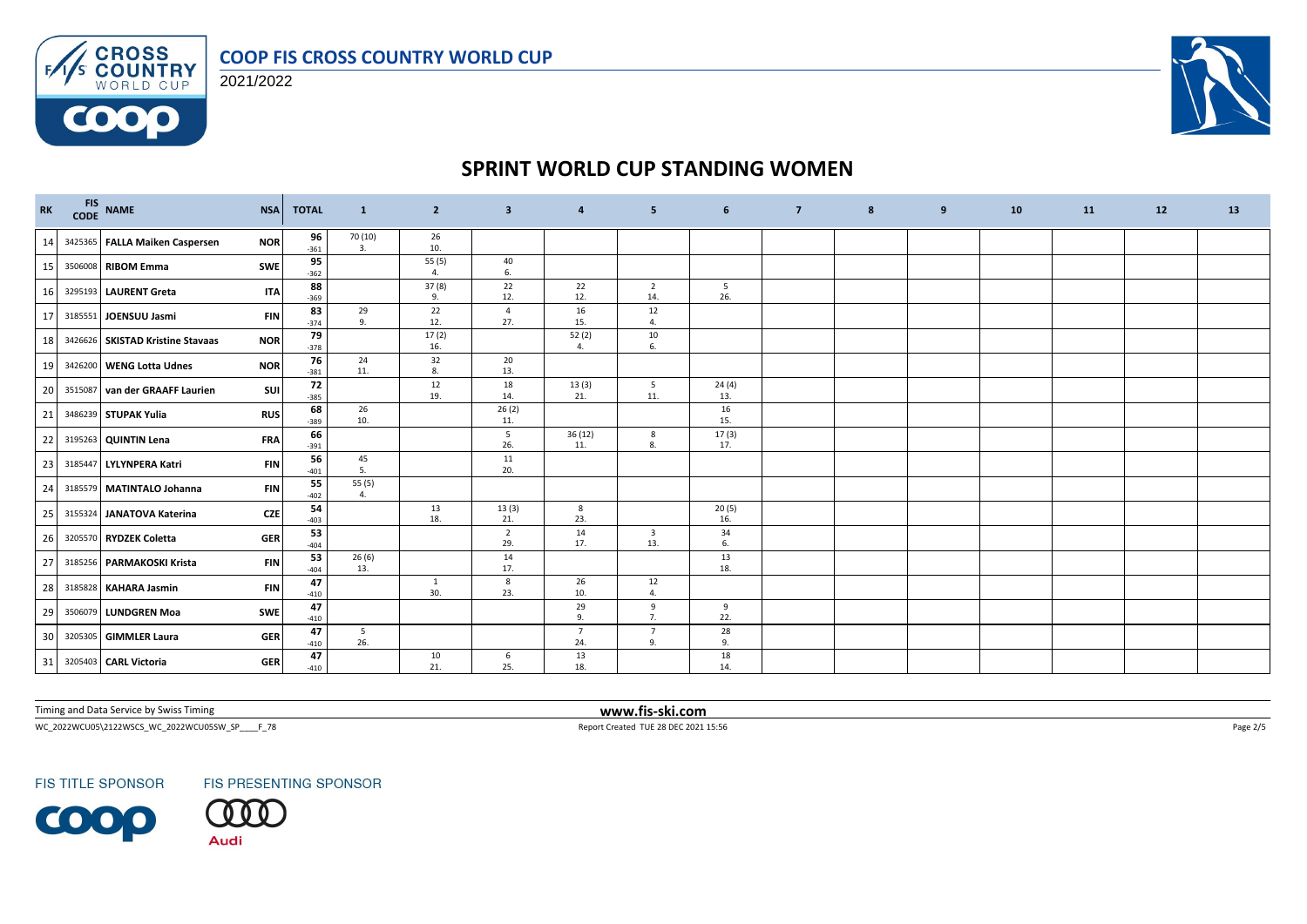### **COOP FIS CROSS COUNTRY WORLD CUP**



 $F/1/s$ 

**COOP** 



# **SPRINT WORLD CUP STANDING WOMEN**

| RK | FIS NAME                          | <b>NSA</b> | <b>TOTAL</b> | -1            | $\overline{2}$ | $\overline{\mathbf{3}}$ | 4                     | 5                              | 6            | $\overline{7}$ | 8 | 9 | 10 | <b>11</b> | 12 | 13 |
|----|-----------------------------------|------------|--------------|---------------|----------------|-------------------------|-----------------------|--------------------------------|--------------|----------------|---|---|----|-----------|----|----|
|    | 14 3425365 FALLA Maiken Caspersen | <b>NOR</b> | 96<br>$-361$ | 70 (10)<br>3. | 26<br>10.      |                         |                       |                                |              |                |   |   |    |           |    |    |
| 15 | 3506008 RIBOM Emma                | SWE        | 95<br>$-362$ |               | 55(5)<br>4.    | 40<br>6.                |                       |                                |              |                |   |   |    |           |    |    |
| 16 | 3295193 LAURENT Greta             | <b>ITA</b> | 88<br>$-369$ |               | 37(8)<br>9.    | 22<br>12.               | 22<br>12.             | $\overline{2}$<br>14.          | 5<br>26.     |                |   |   |    |           |    |    |
| 17 | 3185551 JOENSUU Jasmi             | <b>FIN</b> | 83<br>$-374$ | 29<br>9.      | 22<br>12.      | $\overline{4}$<br>27.   | 16<br>15.             | 12<br>$\overline{4}$ .         |              |                |   |   |    |           |    |    |
| 18 | 3426626 SKISTAD Kristine Stavaas  | <b>NOR</b> | 79<br>$-378$ |               | 17(2)<br>16.   |                         | 52(2)<br>4.           | 10<br>6.                       |              |                |   |   |    |           |    |    |
| 19 | 3426200 WENG Lotta Udnes          | <b>NOR</b> | 76<br>$-381$ | 24<br>11.     | 32<br>8.       | 20<br>13.               |                       |                                |              |                |   |   |    |           |    |    |
| 20 | 3515087 van der GRAAFF Laurien    | SUI        | 72<br>$-385$ |               | 12<br>19.      | 18<br>14.               | 13(3)<br>21.          | 5<br>11.                       | 24(4)<br>13. |                |   |   |    |           |    |    |
| 21 | 3486239 STUPAK Yulia              | <b>RUS</b> | 68<br>$-389$ | 26<br>10.     |                | 26(2)<br>11.            |                       |                                | 16<br>15.    |                |   |   |    |           |    |    |
| 22 | 3195263 QUINTIN Lena              | <b>FRA</b> | 66<br>$-391$ |               |                | 5<br>26.                | 36(12)<br>11.         | 8<br>8.                        | 17(3)<br>17. |                |   |   |    |           |    |    |
| 23 | 3185447 LYLYNPERA Katri           | <b>FIN</b> | 56<br>$-401$ | 45<br>5.      |                | 11<br>20.               |                       |                                |              |                |   |   |    |           |    |    |
| 24 | 3185579 MATINTALO Johanna         | <b>FIN</b> | 55<br>$-402$ | 55 (5)<br>4.  |                |                         |                       |                                |              |                |   |   |    |           |    |    |
| 25 | 3155324 JANATOVA Katerina         | <b>CZE</b> | 54<br>$-403$ |               | 13<br>18.      | 13(3)<br>21.            | 8<br>23.              |                                | 20(5)<br>16. |                |   |   |    |           |    |    |
| 26 | 3205570 RYDZEK Coletta            | <b>GER</b> | 53<br>$-404$ |               |                | $\overline{2}$<br>29.   | 14<br>17.             | $\overline{\mathbf{3}}$<br>13. | 34<br>6.     |                |   |   |    |           |    |    |
| 27 | 3185256 PARMAKOSKI Krista         | <b>FIN</b> | 53<br>$-404$ | 26(6)<br>13.  |                | 14<br>17.               |                       |                                | 13<br>18.    |                |   |   |    |           |    |    |
| 28 | 3185828 KAHARA Jasmin             | <b>FIN</b> | 47<br>$-410$ |               | 1<br>30.       | 8<br>23.                | 26<br>10.             | 12<br>$\overline{4}$           |              |                |   |   |    |           |    |    |
| 29 | 3506079 LUNDGREN Moa              | SWE        | 47<br>$-410$ |               |                |                         | 29<br>9.              | 9<br>7.                        | 9<br>22.     |                |   |   |    |           |    |    |
| 30 | 3205305 GIMMLER Laura             | <b>GER</b> | 47<br>$-410$ | 5<br>26.      |                |                         | $\overline{7}$<br>24. | $\overline{7}$<br>9.           | 28<br>9.     |                |   |   |    |           |    |    |
|    | 31 3205403 CARL Victoria          | <b>GER</b> | 47<br>$-410$ |               | 10<br>21.      | 6<br>25.                | 13<br>18.             |                                | 18<br>14.    |                |   |   |    |           |    |    |

Timing and Data Service by Swiss Timing **www.fis-ski.com**

WC\_2022WCU05\2122WSCS\_WC\_2022WCU05SW\_SP\_\_\_\_F\_78 <br>
Report Created TUE 28 DEC 2021 15:56 Page 2/5

**FIS TITLE SPONSOR** 



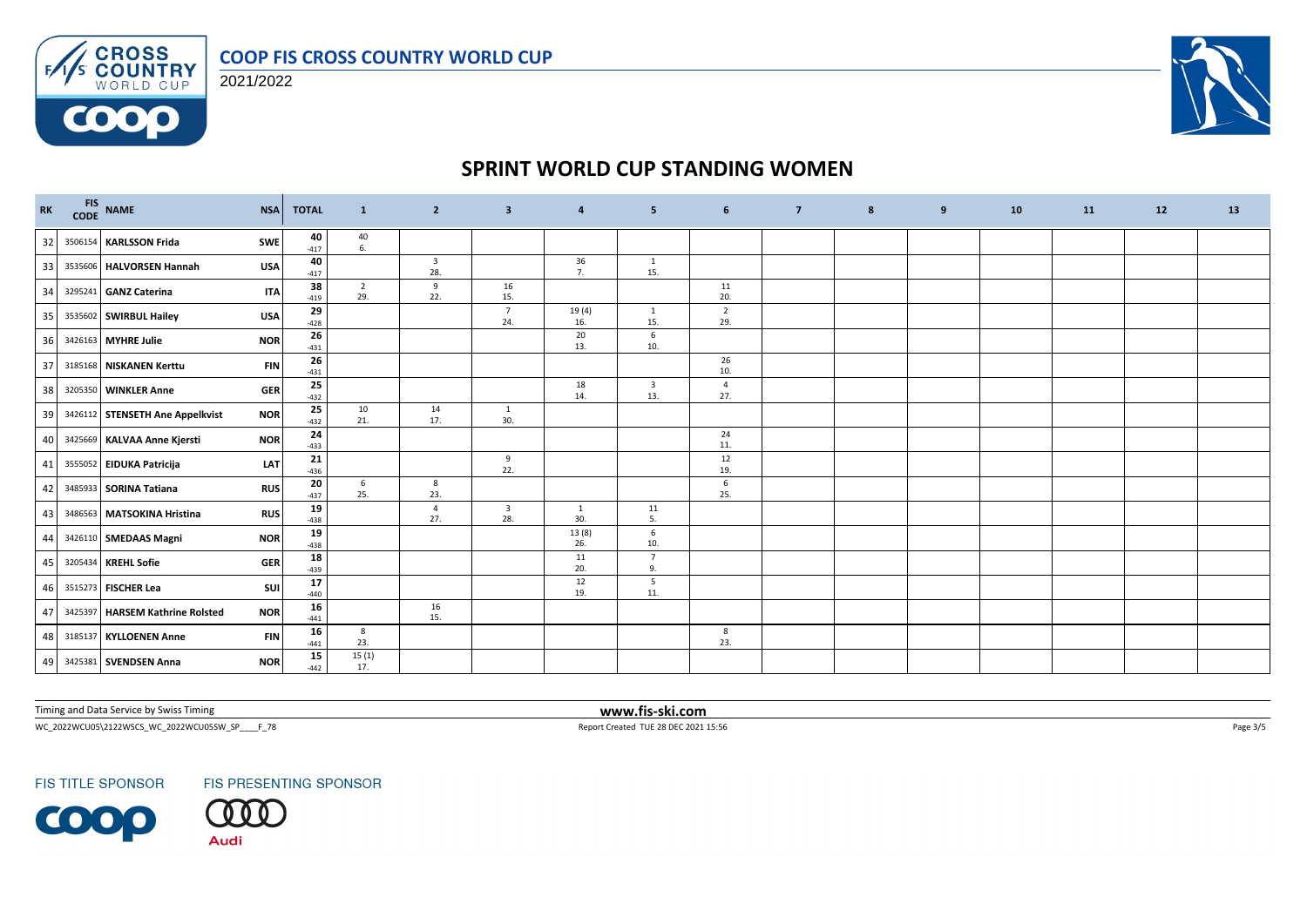

**CROSS**<br>**COUNTRY**<br>WORLD CUP 2021/2022

 $F/1/s$ 

**COOO** 



# **SPRINT WORLD CUP STANDING WOMEN**

| <b>RK</b> | FIS NAME<br>CODE NAME           | <b>NSA</b> | <b>TOTAL</b>         | $\mathbf{1}$          | $\overline{2}$                 | $\overline{\mathbf{3}}$        | 4            | 5                              | 6                     | $\overline{7}$ | 8 | 9 | 10 | <b>11</b> | 12 | 13 |
|-----------|---------------------------------|------------|----------------------|-----------------------|--------------------------------|--------------------------------|--------------|--------------------------------|-----------------------|----------------|---|---|----|-----------|----|----|
| 32        | 3506154 KARLSSON Frida          | <b>SWE</b> | 40<br>$-417$         | 40<br>6.              |                                |                                |              |                                |                       |                |   |   |    |           |    |    |
| 33        | 3535606 HALVORSEN Hannah        | <b>USA</b> | 40<br>$-417$         |                       | $\overline{\mathbf{3}}$<br>28. |                                | 36<br>7.     | 1<br>15.                       |                       |                |   |   |    |           |    |    |
| 34        | 3295241 GANZ Caterina           | <b>ITA</b> | 38<br>$-419$         | $\overline{2}$<br>29. | 9<br>22.                       | 16<br>15.                      |              |                                | 11<br>20.             |                |   |   |    |           |    |    |
| 35        | 3535602 SWIRBUL Hailey          | <b>USA</b> | 29<br>$-428$         |                       |                                | $\overline{7}$<br>24.          | 19(4)<br>16. | $\mathbf{1}$<br>15.            | $\overline{2}$<br>29. |                |   |   |    |           |    |    |
| 36        | 3426163 MYHRE Julie             | <b>NOR</b> | 26<br>$-431$         |                       |                                |                                | 20<br>13.    | 6<br>10.                       |                       |                |   |   |    |           |    |    |
| 37        | 3185168 NISKANEN Kerttu         | <b>FIN</b> | 26<br>$-431$         |                       |                                |                                |              |                                | 26<br>10.             |                |   |   |    |           |    |    |
| 38        | 3205350 WINKLER Anne            | <b>GER</b> | ${\bf 25}$<br>$-432$ |                       |                                |                                | 18<br>14.    | $\overline{\mathbf{3}}$<br>13. | $\overline{a}$<br>27. |                |   |   |    |           |    |    |
| 39        | 3426112 STENSETH Ane Appelkvist | <b>NOR</b> | 25<br>$-432$         | 10<br>21.             | 14<br>17.                      | 1<br>30.                       |              |                                |                       |                |   |   |    |           |    |    |
| 40        | 3425669 KALVAA Anne Kjersti     | <b>NOR</b> | 24<br>$-433$         |                       |                                |                                |              |                                | 24<br>11.             |                |   |   |    |           |    |    |
| 41        | 3555052 EIDUKA Patricija        | LAT        | 21<br>$-436$         |                       |                                | 9<br>22.                       |              |                                | 12<br>19.             |                |   |   |    |           |    |    |
| 42        | 3485933 SORINA Tatiana          | <b>RUS</b> | 20<br>$-437$         | 6<br>25.              | 8<br>23.                       |                                |              |                                | 6<br>25.              |                |   |   |    |           |    |    |
| 43        | 3486563 MATSOKINA Hristina      | <b>RUS</b> | 19<br>$-438$         |                       | $\overline{4}$<br>27.          | $\overline{\mathbf{3}}$<br>28. | 1<br>30.     | 11<br>5.                       |                       |                |   |   |    |           |    |    |
| 44        | 3426110 SMEDAAS Magni           | <b>NOR</b> | 19<br>$-438$         |                       |                                |                                | 13(8)<br>26. | 6<br>10.                       |                       |                |   |   |    |           |    |    |
| 45        | 3205434 KREHL Sofie             | <b>GER</b> | 18<br>$-439$         |                       |                                |                                | 11<br>20.    | $\overline{7}$<br>9.           |                       |                |   |   |    |           |    |    |
| 46        | 3515273 FISCHER Lea             | <b>SUI</b> | 17<br>$-440$         |                       |                                |                                | 12<br>19.    | 5<br>11.                       |                       |                |   |   |    |           |    |    |
| 47        | 3425397 HARSEM Kathrine Rolsted | <b>NOR</b> | 16<br>$-441$         |                       | 16<br>15.                      |                                |              |                                |                       |                |   |   |    |           |    |    |
| 48        | 3185137 KYLLOENEN Anne          | <b>FIN</b> | 16<br>$-441$         | 8<br>23.              |                                |                                |              |                                | 8<br>23.              |                |   |   |    |           |    |    |
| 49        | 3425381 SVENDSEN Anna           | <b>NOR</b> | 15<br>$-442$         | 15(1)<br>17.          |                                |                                |              |                                |                       |                |   |   |    |           |    |    |

Timing and Data Service by Swiss Timing **www.fis-ski.com**

WC\_2022WCU05\2122WSCS\_WC\_2022WCU05SW\_SP\_\_\_\_F\_78 <br>
Report Created TUE 28 DEC 2021 15:56 Page 3/5

**FIS TITLE SPONSOR** 

**FIS PRESENTING SPONSOR** 

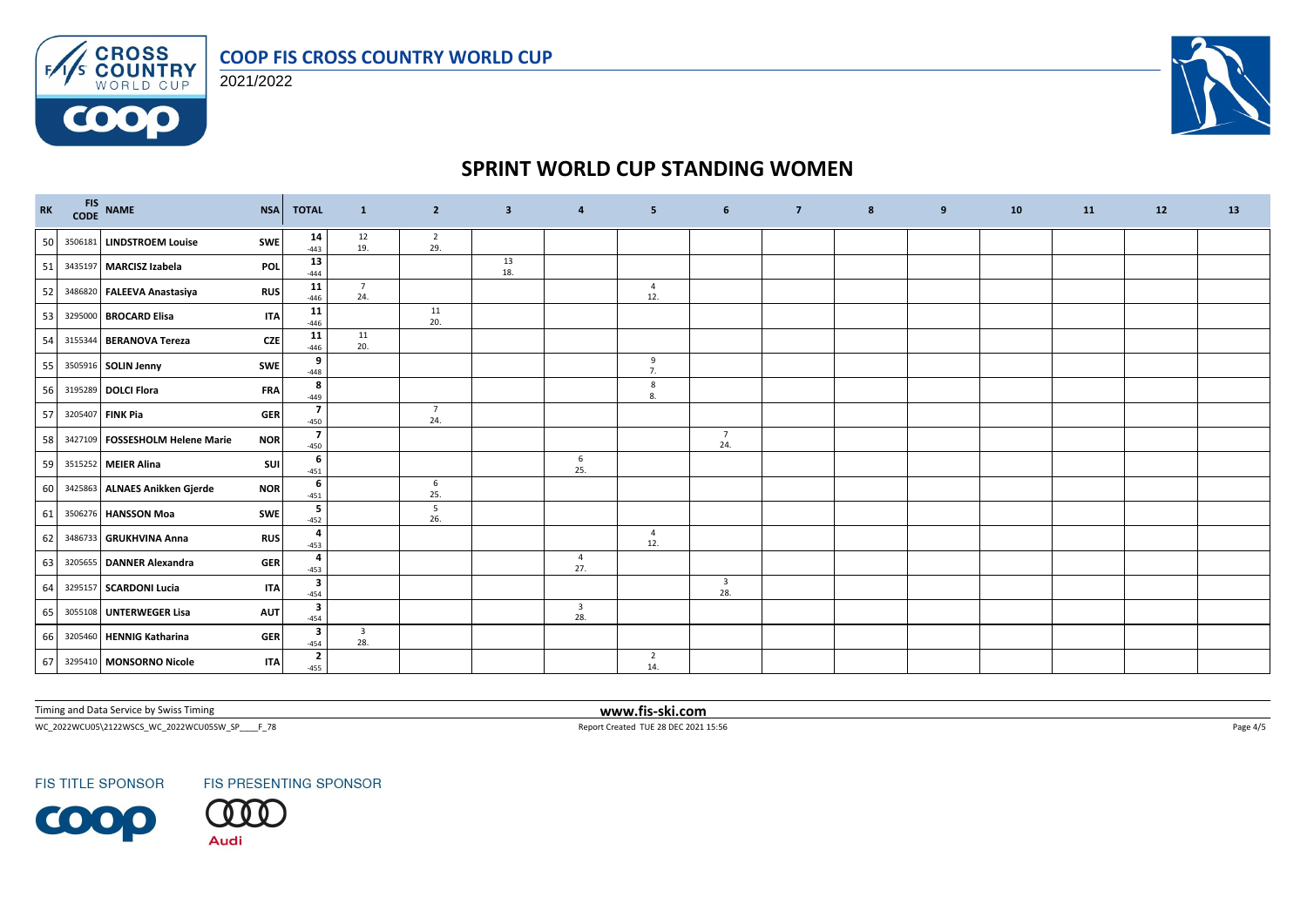

2021/2022

 $F/1/s$ 

**COOO** 



# **SPRINT WORLD CUP STANDING WOMEN**

| RK | FIS NAME                        | <b>NSA</b> | <b>TOTAL</b>                       | $\mathbf{1}$                             | $\overline{2}$        | $\overline{\mathbf{3}}$ | $\overline{\mathbf{4}}$        | 5 <sub>5</sub>        | 6                              | $\overline{7}$ | $\boldsymbol{8}$ | 9 | 10 | <b>11</b> | 12 | 13 |
|----|---------------------------------|------------|------------------------------------|------------------------------------------|-----------------------|-------------------------|--------------------------------|-----------------------|--------------------------------|----------------|------------------|---|----|-----------|----|----|
| 50 | 3506181 LINDSTROEM Louise       | SWE        | 14<br>$-443$                       | $\begin{array}{c} 12 \\ 19. \end{array}$ | $\overline{2}$<br>29. |                         |                                |                       |                                |                |                  |   |    |           |    |    |
| 51 | 3435197 MARCISZ Izabela         | <b>POL</b> | 13<br>$-444$                       |                                          |                       | 13<br>18.               |                                |                       |                                |                |                  |   |    |           |    |    |
| 52 | 3486820 FALEEVA Anastasiya      | <b>RUS</b> | 11<br>$-446$                       | $\overline{7}$<br>24.                    |                       |                         |                                | $\overline{4}$<br>12. |                                |                |                  |   |    |           |    |    |
| 53 | 3295000 BROCARD Elisa           | <b>ITA</b> | 11<br>$-446$                       |                                          | 11<br>20.             |                         |                                |                       |                                |                |                  |   |    |           |    |    |
| 54 | 3155344 BERANOVA Tereza         | <b>CZE</b> | 11<br>$-446$                       | 11<br>20.                                |                       |                         |                                |                       |                                |                |                  |   |    |           |    |    |
| 55 | 3505916 SOLIN Jenny             | SWE        | 9<br>$-448$                        |                                          |                       |                         |                                | 9<br>7.               |                                |                |                  |   |    |           |    |    |
| 56 | 3195289 DOLCI Flora             | <b>FRA</b> | 8<br>$-449$                        |                                          |                       |                         |                                | 8<br>8.               |                                |                |                  |   |    |           |    |    |
| 57 | 3205407 FINK Pia                | <b>GER</b> | $\overline{\phantom{a}}$<br>$-450$ |                                          | $\overline{7}$<br>24. |                         |                                |                       |                                |                |                  |   |    |           |    |    |
| 58 | 3427109 FOSSESHOLM Helene Marie | <b>NOR</b> | $\overline{7}$<br>$-450$           |                                          |                       |                         |                                |                       | $\overline{7}$<br>24.          |                |                  |   |    |           |    |    |
| 59 | 3515252 MEIER Alina             | <b>SUI</b> | 6<br>$-451$                        |                                          |                       |                         | 6<br>25.                       |                       |                                |                |                  |   |    |           |    |    |
| 60 | 3425863 ALNAES Anikken Gjerde   | <b>NOR</b> | 6<br>$-451$                        |                                          | 6<br>25.              |                         |                                |                       |                                |                |                  |   |    |           |    |    |
| 61 | 3506276 HANSSON Moa             | SWE        | 5<br>$-452$                        |                                          | 5<br>26.              |                         |                                |                       |                                |                |                  |   |    |           |    |    |
| 62 | 3486733 GRUKHVINA Anna          | <b>RUS</b> | 4<br>$-453$                        |                                          |                       |                         |                                | $\overline{4}$<br>12. |                                |                |                  |   |    |           |    |    |
| 63 | 3205655 DANNER Alexandra        | <b>GER</b> | 4<br>$-453$                        |                                          |                       |                         | $\overline{4}$<br>27.          |                       |                                |                |                  |   |    |           |    |    |
| 64 | 3295157 SCARDONI Lucia          | <b>ITA</b> | $\mathbf{3}$<br>$-454$             |                                          |                       |                         |                                |                       | $\overline{\mathbf{3}}$<br>28. |                |                  |   |    |           |    |    |
| 65 | 3055108 UNTERWEGER Lisa         | <b>AUT</b> | 3<br>$-454$                        |                                          |                       |                         | $\overline{\mathbf{3}}$<br>28. |                       |                                |                |                  |   |    |           |    |    |
| 66 | 3205460 HENNIG Katharina        | <b>GER</b> | $\overline{\mathbf{3}}$<br>$-454$  | $\overline{\mathbf{3}}$<br>28.           |                       |                         |                                |                       |                                |                |                  |   |    |           |    |    |
| 67 | 3295410 MONSORNO Nicole         | <b>ITA</b> | $\mathbf{2}$<br>$-455$             |                                          |                       |                         |                                | $\overline{2}$<br>14. |                                |                |                  |   |    |           |    |    |

Timing and Data Service by Swiss Timing **www.fis-ski.com**

WC\_2022WCU05\2122WSCS\_WC\_2022WCU05SW\_SP\_\_\_\_F\_78 Page 4/5 Report Created TUE 28 DEC 2021 15:56 Page 4/5 Page 4/5

**FIS TITLE SPONSOR**